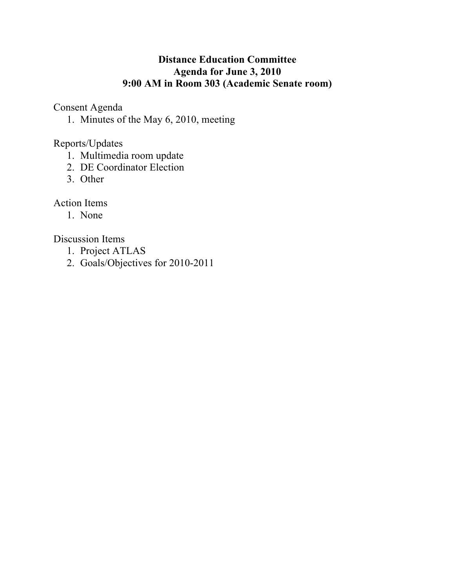## **Distance Education Committee Agenda for June 3, 2010 9:00 AM in Room 303 (Academic Senate room)**

Consent Agenda

1. Minutes of the May 6, 2010, meeting

Reports/Updates

- 1. Multimedia room update
- 2. DE Coordinator Election
- 3. Other

Action Items

1. None

Discussion Items

- 1. Project ATLAS
- 2. Goals/Objectives for 2010-2011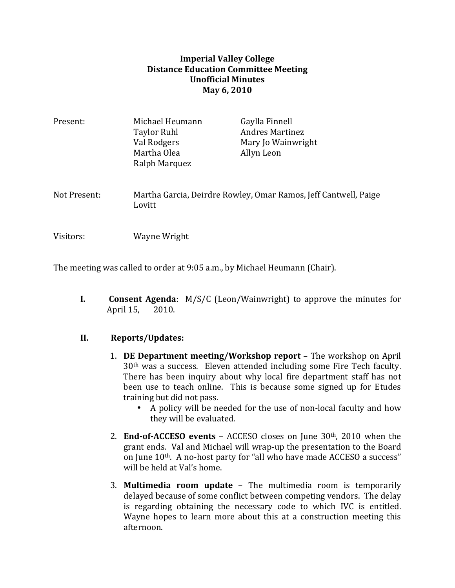## **Imperial Valley College Distance Education Committee Meeting Unofficial)Minutes May 6, 2010**

| Present:     | Michael Heumann<br>Taylor Ruhl<br>Val Rodgers<br>Martha Olea<br>Ralph Marquez | Gaylla Finnell<br><b>Andres Martinez</b><br>Mary Jo Wainwright<br>Allyn Leon |
|--------------|-------------------------------------------------------------------------------|------------------------------------------------------------------------------|
| Not Present: | Lovitt                                                                        | Martha Garcia, Deirdre Rowley, Omar Ramos, Jeff Cantwell, Paige              |
| Visitors:    | Wayne Wright                                                                  |                                                                              |

The meeting was called to order at 9:05 a.m., by Michael Heumann (Chair).

**I. Consent Agenda**:  $M/S/C$  (Leon/Wainwright) to approve the minutes for April 15, 2010.

## **II. Reports/Updates:**

- 1. **DE Department meeting/Workshop report** The workshop on April 30<sup>th</sup> was a success. Eleven attended including some Fire Tech faculty. There has been inquiry about why local fire department staff has not been use to teach online. This is because some signed up for Etudes training but did not pass.
	- A policy will be needed for the use of non-local faculty and how they will be evaluated.
- 2. **End-of-ACCESO events** ACCESO closes on June 30<sup>th</sup>, 2010 when the grant ends. Val and Michael will wrap-up the presentation to the Board on June 10th. A no-host party for "all who have made ACCESO a success" will be held at Val's home.
- 3. **Multimedia room update** The multimedia room is temporarily delayed because of some conflict between competing vendors. The delay is regarding obtaining the necessary code to which IVC is entitled. Wayne hopes to learn more about this at a construction meeting this afternoon.